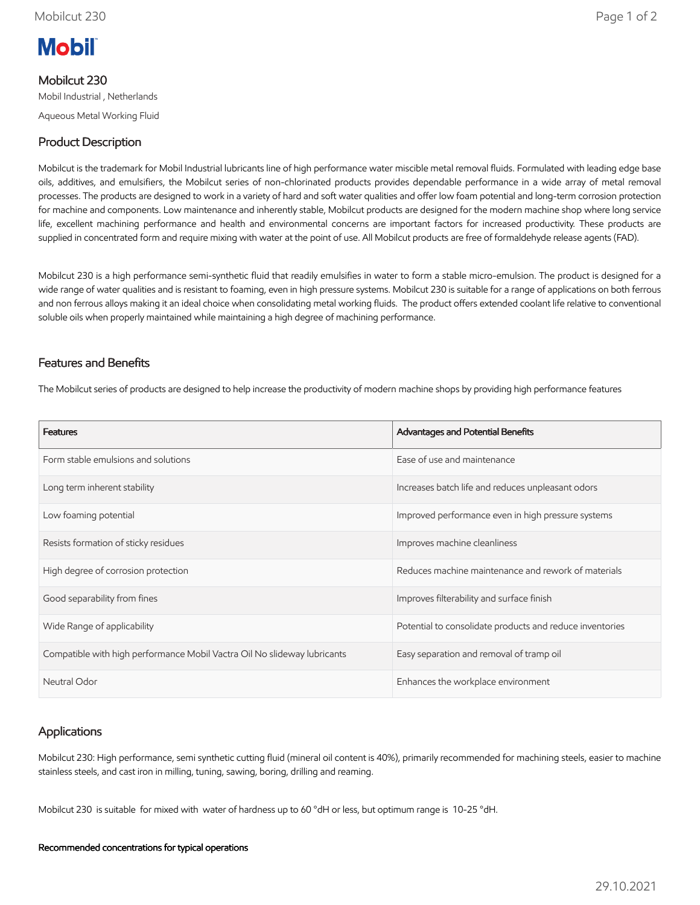

# Mobilcut 230

Mobil Industrial , Netherlands Aqueous Metal Working Fluid

# Product Description

Mobilcut is the trademark for Mobil Industrial lubricants line of high performance water miscible metal removal fluids. Formulated with leading edge base oils, additives, and emulsifiers, the Mobilcut series of non-chlorinated products provides dependable performance in a wide array of metal removal processes. The products are designed to work in a variety of hard and soft water qualities and offer low foam potential and long-term corrosion protection for machine and components. Low maintenance and inherently stable, Mobilcut products are designed for the modern machine shop where long service life, excellent machining performance and health and environmental concerns are important factors for increased productivity. These products are supplied in concentrated form and require mixing with water at the point of use. All Mobilcut products are free of formaldehyde release agents (FAD).

Mobilcut 230 is a high performance semi-synthetic fluid that readily emulsifies in water to form a stable micro-emulsion. The product is designed for a wide range of water qualities and is resistant to foaming, even in high pressure systems. Mobilcut 230 is suitable for a range of applications on both ferrous and non ferrous alloys making it an ideal choice when consolidating metal working fluids. The product offers extended coolant life relative to conventional soluble oils when properly maintained while maintaining a high degree of machining performance.

## Features and Benefits

The Mobilcut series of products are designed to help increase the productivity of modern machine shops by providing high performance features

| <b>Features</b>                                                          | Advantages and Potential Benefits                        |
|--------------------------------------------------------------------------|----------------------------------------------------------|
| Form stable emulsions and solutions                                      | Ease of use and maintenance                              |
| Long term inherent stability                                             | Increases batch life and reduces unpleasant odors        |
| Low foaming potential                                                    | Improved performance even in high pressure systems       |
| Resists formation of sticky residues                                     | Improves machine cleanliness                             |
| High degree of corrosion protection                                      | Reduces machine maintenance and rework of materials      |
| Good separability from fines                                             | Improves filterability and surface finish                |
| Wide Range of applicability                                              | Potential to consolidate products and reduce inventories |
| Compatible with high performance Mobil Vactra Oil No slideway lubricants | Easy separation and removal of tramp oil                 |
| Neutral Odor                                                             | Enhances the workplace environment                       |

# Applications

Mobilcut 230: High performance, semi synthetic cutting fluid (mineral oil content is 40%), primarily recommended for machining steels, easier to machine stainless steels, and cast iron in milling, tuning, sawing, boring, drilling and reaming.

Mobilcut 230 is suitable for mixed with water of hardness up to 60 °dH or less, but optimum range is 10-25 °dH.